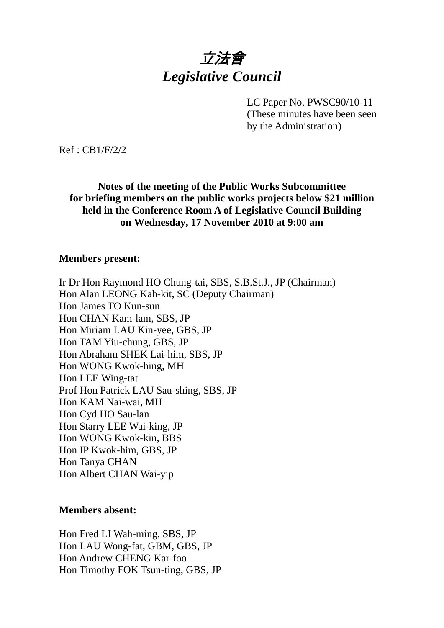# 立法會 *Legislative Council*

LC Paper No. PWSC90/10-11 (These minutes have been seen by the Administration)

Ref : CB1/F/2/2

**Notes of the meeting of the Public Works Subcommittee for briefing members on the public works projects below \$21 million held in the Conference Room A of Legislative Council Building on Wednesday, 17 November 2010 at 9:00 am** 

#### **Members present:**

Ir Dr Hon Raymond HO Chung-tai, SBS, S.B.St.J., JP (Chairman) Hon Alan LEONG Kah-kit, SC (Deputy Chairman) Hon James TO Kun-sun Hon CHAN Kam-lam, SBS, JP Hon Miriam LAU Kin-yee, GBS, JP Hon TAM Yiu-chung, GBS, JP Hon Abraham SHEK Lai-him, SBS, JP Hon WONG Kwok-hing, MH Hon LEE Wing-tat Prof Hon Patrick LAU Sau-shing, SBS, JP Hon KAM Nai-wai, MH Hon Cyd HO Sau-lan Hon Starry LEE Wai-king, JP Hon WONG Kwok-kin, BBS Hon IP Kwok-him, GBS, JP Hon Tanya CHAN Hon Albert CHAN Wai-yip

#### **Members absent:**

Hon Fred LI Wah-ming, SBS, JP Hon LAU Wong-fat, GBM, GBS, JP Hon Andrew CHENG Kar-foo Hon Timothy FOK Tsun-ting, GBS, JP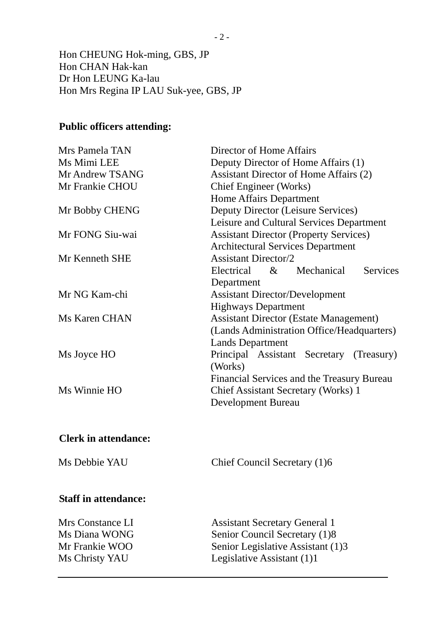Hon CHEUNG Hok-ming, GBS, JP Hon CHAN Hak-kan Dr Hon LEUNG Ka-lau Hon Mrs Regina IP LAU Suk-yee, GBS, JP

#### **Public officers attending:**

| Mrs Pamela TAN  | Director of Home Affairs                      |
|-----------------|-----------------------------------------------|
| Ms Mimi LEE     | Deputy Director of Home Affairs (1)           |
| Mr Andrew TSANG | Assistant Director of Home Affairs (2)        |
| Mr Frankie CHOU | <b>Chief Engineer</b> (Works)                 |
|                 | <b>Home Affairs Department</b>                |
| Mr Bobby CHENG  | Deputy Director (Leisure Services)            |
|                 | Leisure and Cultural Services Department      |
| Mr FONG Siu-wai | <b>Assistant Director (Property Services)</b> |
|                 | <b>Architectural Services Department</b>      |
| Mr Kenneth SHE  | <b>Assistant Director/2</b>                   |
|                 | <b>Services</b><br>Electrical &<br>Mechanical |
|                 | Department                                    |
| Mr NG Kam-chi   | <b>Assistant Director/Development</b>         |
|                 | <b>Highways Department</b>                    |
| Ms Karen CHAN   | <b>Assistant Director (Estate Management)</b> |
|                 | (Lands Administration Office/Headquarters)    |
|                 | <b>Lands Department</b>                       |
| Ms Joyce HO     | Principal Assistant Secretary (Treasury)      |
|                 | (Works)                                       |
|                 | Financial Services and the Treasury Bureau    |
| Ms Winnie HO    | Chief Assistant Secretary (Works) 1           |
|                 | Development Bureau                            |
|                 |                                               |

### **Clerk in attendance:**

Ms Debbie YAU Chief Council Secretary (1)6

#### **Staff in attendance:**

Mrs Constance LI Assistant Secretary General 1 Ms Diana WONG Senior Council Secretary (1)8 Mr Frankie WOO Senior Legislative Assistant (1)3 Ms Christy YAU Legislative Assistant (1)1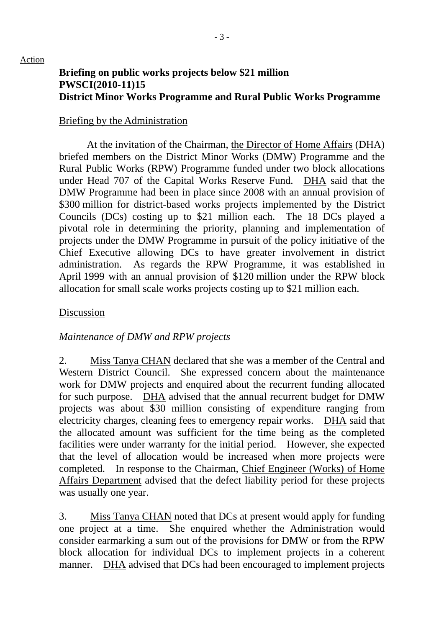## **Briefing on public works projects below \$21 million PWSCI(2010-11)15 District Minor Works Programme and Rural Public Works Programme**

#### Briefing by the Administration

 At the invitation of the Chairman, the Director of Home Affairs (DHA) briefed members on the District Minor Works (DMW) Programme and the Rural Public Works (RPW) Programme funded under two block allocations under Head 707 of the Capital Works Reserve Fund. DHA said that the DMW Programme had been in place since 2008 with an annual provision of \$300 million for district-based works projects implemented by the District Councils (DCs) costing up to \$21 million each. The 18 DCs played a pivotal role in determining the priority, planning and implementation of projects under the DMW Programme in pursuit of the policy initiative of the Chief Executive allowing DCs to have greater involvement in district administration. As regards the RPW Programme, it was established in April 1999 with an annual provision of \$120 million under the RPW block allocation for small scale works projects costing up to \$21 million each.

#### Discussion

### *Maintenance of DMW and RPW projects*

2. Miss Tanya CHAN declared that she was a member of the Central and Western District Council. She expressed concern about the maintenance work for DMW projects and enquired about the recurrent funding allocated for such purpose. DHA advised that the annual recurrent budget for DMW projects was about \$30 million consisting of expenditure ranging from electricity charges, cleaning fees to emergency repair works. DHA said that the allocated amount was sufficient for the time being as the completed facilities were under warranty for the initial period. However, she expected that the level of allocation would be increased when more projects were completed. In response to the Chairman, Chief Engineer (Works) of Home Affairs Department advised that the defect liability period for these projects was usually one year.

3. Miss Tanya CHAN noted that DCs at present would apply for funding one project at a time. She enquired whether the Administration would consider earmarking a sum out of the provisions for DMW or from the RPW block allocation for individual DCs to implement projects in a coherent manner. DHA advised that DCs had been encouraged to implement projects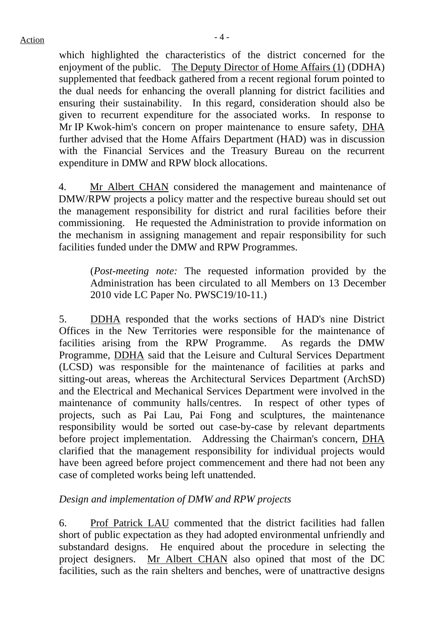which highlighted the characteristics of the district concerned for the enjoyment of the public. The Deputy Director of Home Affairs (1) (DDHA) supplemented that feedback gathered from a recent regional forum pointed to the dual needs for enhancing the overall planning for district facilities and ensuring their sustainability. In this regard, consideration should also be given to recurrent expenditure for the associated works. In response to Mr IP Kwok-him's concern on proper maintenance to ensure safety, DHA further advised that the Home Affairs Department (HAD) was in discussion with the Financial Services and the Treasury Bureau on the recurrent expenditure in DMW and RPW block allocations.

4. Mr Albert CHAN considered the management and maintenance of DMW/RPW projects a policy matter and the respective bureau should set out the management responsibility for district and rural facilities before their commissioning. He requested the Administration to provide information on the mechanism in assigning management and repair responsibility for such facilities funded under the DMW and RPW Programmes.

(*Post-meeting note:* The requested information provided by the Administration has been circulated to all Members on 13 December 2010 vide LC Paper No. PWSC19/10-11.)

5. DDHA responded that the works sections of HAD's nine District Offices in the New Territories were responsible for the maintenance of facilities arising from the RPW Programme. As regards the DMW Programme, DDHA said that the Leisure and Cultural Services Department (LCSD) was responsible for the maintenance of facilities at parks and sitting-out areas, whereas the Architectural Services Department (ArchSD) and the Electrical and Mechanical Services Department were involved in the maintenance of community halls/centres. In respect of other types of projects, such as Pai Lau, Pai Fong and sculptures, the maintenance responsibility would be sorted out case-by-case by relevant departments before project implementation. Addressing the Chairman's concern, DHA clarified that the management responsibility for individual projects would have been agreed before project commencement and there had not been any case of completed works being left unattended.

## *Design and implementation of DMW and RPW projects*

6. Prof Patrick LAU commented that the district facilities had fallen short of public expectation as they had adopted environmental unfriendly and substandard designs. He enquired about the procedure in selecting the project designers. Mr Albert CHAN also opined that most of the DC facilities, such as the rain shelters and benches, were of unattractive designs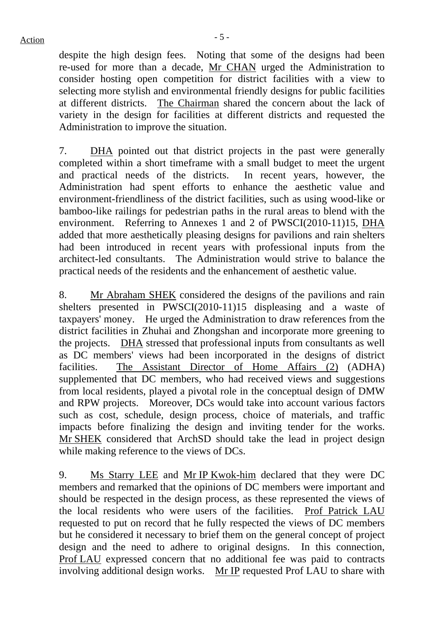despite the high design fees. Noting that some of the designs had been re-used for more than a decade, Mr CHAN urged the Administration to consider hosting open competition for district facilities with a view to selecting more stylish and environmental friendly designs for public facilities at different districts. The Chairman shared the concern about the lack of variety in the design for facilities at different districts and requested the Administration to improve the situation.

7. DHA pointed out that district projects in the past were generally completed within a short timeframe with a small budget to meet the urgent and practical needs of the districts. In recent years, however, the Administration had spent efforts to enhance the aesthetic value and environment-friendliness of the district facilities, such as using wood-like or bamboo-like railings for pedestrian paths in the rural areas to blend with the environment. Referring to Annexes 1 and 2 of PWSCI(2010-11)15, DHA added that more aesthetically pleasing designs for pavilions and rain shelters had been introduced in recent years with professional inputs from the architect-led consultants. The Administration would strive to balance the practical needs of the residents and the enhancement of aesthetic value.

8. Mr Abraham SHEK considered the designs of the pavilions and rain shelters presented in PWSCI(2010-11)15 displeasing and a waste of taxpayers' money. He urged the Administration to draw references from the district facilities in Zhuhai and Zhongshan and incorporate more greening to the projects. DHA stressed that professional inputs from consultants as well as DC members' views had been incorporated in the designs of district facilities. The Assistant Director of Home Affairs (2) (ADHA) supplemented that DC members, who had received views and suggestions from local residents, played a pivotal role in the conceptual design of DMW and RPW projects. Moreover, DCs would take into account various factors such as cost, schedule, design process, choice of materials, and traffic impacts before finalizing the design and inviting tender for the works. Mr SHEK considered that ArchSD should take the lead in project design while making reference to the views of DCs.

9. Ms Starry LEE and Mr IP Kwok-him declared that they were DC members and remarked that the opinions of DC members were important and should be respected in the design process, as these represented the views of the local residents who were users of the facilities. Prof Patrick LAU requested to put on record that he fully respected the views of DC members but he considered it necessary to brief them on the general concept of project design and the need to adhere to original designs. In this connection, Prof LAU expressed concern that no additional fee was paid to contracts involving additional design works. Mr IP requested Prof LAU to share with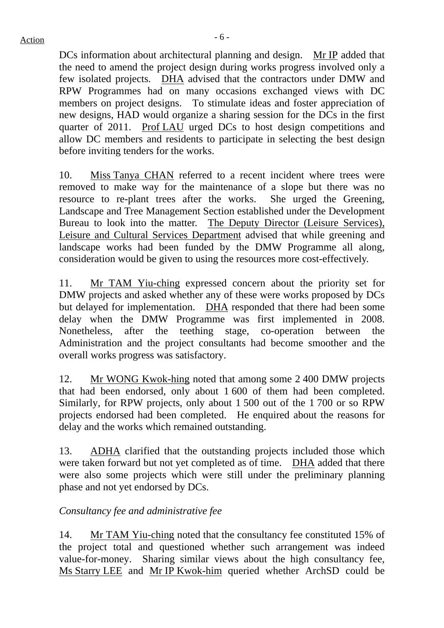$Action$ 

DCs information about architectural planning and design. Mr IP added that the need to amend the project design during works progress involved only a few isolated projects. DHA advised that the contractors under DMW and RPW Programmes had on many occasions exchanged views with DC members on project designs. To stimulate ideas and foster appreciation of new designs, HAD would organize a sharing session for the DCs in the first quarter of 2011. Prof LAU urged DCs to host design competitions and allow DC members and residents to participate in selecting the best design before inviting tenders for the works.

10. Miss Tanya CHAN referred to a recent incident where trees were removed to make way for the maintenance of a slope but there was no resource to re-plant trees after the works. She urged the Greening, Landscape and Tree Management Section established under the Development Bureau to look into the matter. The Deputy Director (Leisure Services), Leisure and Cultural Services Department advised that while greening and landscape works had been funded by the DMW Programme all along, consideration would be given to using the resources more cost-effectively.

11. Mr TAM Yiu-ching expressed concern about the priority set for DMW projects and asked whether any of these were works proposed by DCs but delayed for implementation. DHA responded that there had been some delay when the DMW Programme was first implemented in 2008. Nonetheless, after the teething stage, co-operation between the Administration and the project consultants had become smoother and the overall works progress was satisfactory.

12. Mr WONG Kwok-hing noted that among some 2 400 DMW projects that had been endorsed, only about 1 600 of them had been completed. Similarly, for RPW projects, only about 1 500 out of the 1 700 or so RPW projects endorsed had been completed. He enquired about the reasons for delay and the works which remained outstanding.

13. ADHA clarified that the outstanding projects included those which were taken forward but not yet completed as of time. DHA added that there were also some projects which were still under the preliminary planning phase and not yet endorsed by DCs.

## *Consultancy fee and administrative fee*

14. Mr TAM Yiu-ching noted that the consultancy fee constituted 15% of the project total and questioned whether such arrangement was indeed value-for-money. Sharing similar views about the high consultancy fee, Ms Starry LEE and Mr IP Kwok-him queried whether ArchSD could be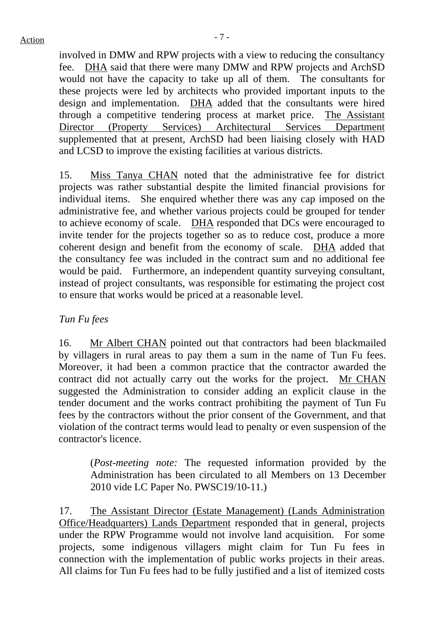$Action$ 

involved in DMW and RPW projects with a view to reducing the consultancy fee. DHA said that there were many DMW and RPW projects and ArchSD would not have the capacity to take up all of them. The consultants for these projects were led by architects who provided important inputs to the design and implementation. DHA added that the consultants were hired through a competitive tendering process at market price. The Assistant Director (Property Services) Architectural Services Department supplemented that at present, ArchSD had been liaising closely with HAD and LCSD to improve the existing facilities at various districts.

15. Miss Tanya CHAN noted that the administrative fee for district projects was rather substantial despite the limited financial provisions for individual items. She enquired whether there was any cap imposed on the administrative fee, and whether various projects could be grouped for tender to achieve economy of scale. DHA responded that DCs were encouraged to invite tender for the projects together so as to reduce cost, produce a more coherent design and benefit from the economy of scale. DHA added that the consultancy fee was included in the contract sum and no additional fee would be paid. Furthermore, an independent quantity surveying consultant, instead of project consultants, was responsible for estimating the project cost to ensure that works would be priced at a reasonable level.

## *Tun Fu fees*

16. Mr Albert CHAN pointed out that contractors had been blackmailed by villagers in rural areas to pay them a sum in the name of Tun Fu fees. Moreover, it had been a common practice that the contractor awarded the contract did not actually carry out the works for the project. Mr CHAN suggested the Administration to consider adding an explicit clause in the tender document and the works contract prohibiting the payment of Tun Fu fees by the contractors without the prior consent of the Government, and that violation of the contract terms would lead to penalty or even suspension of the contractor's licence.

(*Post-meeting note:* The requested information provided by the Administration has been circulated to all Members on 13 December 2010 vide LC Paper No. PWSC19/10-11.)

17. The Assistant Director (Estate Management) (Lands Administration Office/Headquarters) Lands Department responded that in general, projects under the RPW Programme would not involve land acquisition. For some projects, some indigenous villagers might claim for Tun Fu fees in connection with the implementation of public works projects in their areas. All claims for Tun Fu fees had to be fully justified and a list of itemized costs